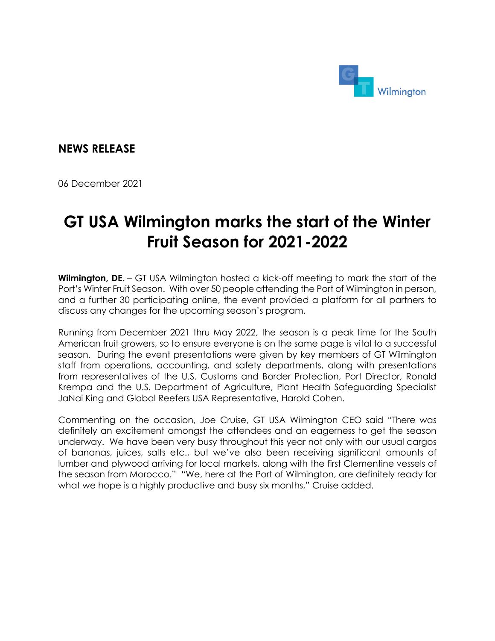

**NEWS RELEASE**

06 December 2021

## **GT USA Wilmington marks the start of the Winter Fruit Season for 2021-2022**

**Wilmington, DE.** – GT USA Wilmington hosted a kick-off meeting to mark the start of the Port's Winter Fruit Season. With over 50 people attending the Port of Wilmington in person, and a further 30 participating online, the event provided a platform for all partners to discuss any changes for the upcoming season's program.

Running from December 2021 thru May 2022, the season is a peak time for the South American fruit growers, so to ensure everyone is on the same page is vital to a successful season. During the event presentations were given by key members of GT Wilmington staff from operations, accounting, and safety departments, along with presentations from representatives of the U.S. Customs and Border Protection, Port Director, Ronald Krempa and the U.S. Department of Agriculture, Plant Health Safeguarding Specialist JaNai King and Global Reefers USA Representative, Harold Cohen.

Commenting on the occasion, Joe Cruise, GT USA Wilmington CEO said "There was definitely an excitement amongst the attendees and an eagerness to get the season underway. We have been very busy throughout this year not only with our usual cargos of bananas, juices, salts etc., but we've also been receiving significant amounts of lumber and plywood arriving for local markets, along with the first Clementine vessels of the season from Morocco." "We, here at the Port of Wilmington, are definitely ready for what we hope is a highly productive and busy six months," Cruise added.